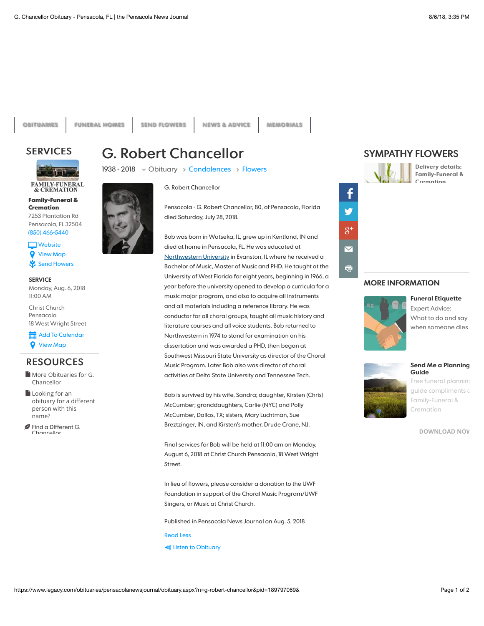**[OBITUARIES](http://www.legacy.com/obituaries/pensacolanewsjournal) [FUNERAL HOMES](http://www.legacy.com/funeral-homes/directory/?affiliateId=1919) [SEND FLOWERS](http://sympathy.legacy.com/funeral-flowers/G-Robert-Chancellor-funeral-flowers/p189797069/?affiliateid=1919) [NEWS & ADVICE](http://www.legacy.com/news) [MEMORIALS](http://www.legacy.com/memorial-sites/2018/)**

## **SERVICES**



**[Family-Funeral &](http://www.legacy.com/funeral-homes/Family-Funeral--Cremation/fh-16437/?affiliateId=1919) Cremation** 7253 Plantation Rd Pensacola, FL 32504

(850) 466-5440 **Nebsite Q** [View Map](http://maps.google.com/maps?q=7253+Plantation+Rd+Pensacola+FL+32504)

**SERVICE** ⚘ [Send Flowers](javascript:void(0))

Monday, Aug. 6, 2018 11:00 AM

Christ Church Pensacola 18 West Wright Street

 Add To Calendar **Q** [View Map](http://maps.google.com/maps?q=Christ+Church+Pensacola%2c+18+West+Wright+Street%2c+%2c+Florida)

## **RESOURCES**

[More Obituaries for G.](https://www.legacy.com/obituaries/name/g-chancellor-obituary?pid=1000000189797069&affiliateid=1919) Chancellor

**Looking for an** obituary for a different [person with this](https://www.legacy.com/obituaries/name/by/chancellor/g.?affiliateid=1919) name?

**[Find a Different G.](http://adclick.g.doubleclick.net/pcs/click?xai=AKAOjsvv_M4I3_QJrIq5P2eCwoToQWUVkIxEHNwNlg47jRDaNdHN1Cgfcd_PJE108ybpXZm--wJvcpgprBnosZdlrNC1qsbxIZI_oZJRnjERhh7fOlfSsvILn7xGm5Nox-Fj9eaANRxskGqivoacV6YKsem0F07PDWtY67onFd2unPnP2Jcn6Faf6LSktWPU2JOcnlJo2dgdUEAwSoevmX2WD1YjS9ZREt6Y-39viM2MAHGI4E7IJ0RIglLkC2_LE-Z3TWzhoNwnJSJoZw_4ATMjrD1RFhQJBcg5hr8sdBHoKm-t-A&sai=AMfl-YRrVlcfN8o9UgaM7dlhBHQpTSZcqppfm9pRa4Kt7WyeTk-WPOHJzc6wrKBht9L6uezL8HM6zUuukG9K0YgcVRlyFbArPrAFDPJAFaL-GqBgIYF-HQrHwE5dA-gQ&sig=Cg0ArKJSzNJAFp573z6aEAE&urlfix=1&adurl=http://www.legacy.com/obituaries/pensacolanewsjournal/obituary-search.aspx%3Fdaterange%3D99999%26firstname%3DG.%26lastname%3DChancellor)** Chancellor



1938 - 2018 v Obituary > [Condolences](https://www.legacy.com/guestbooks/pensacolanewsjournal/g-robert-chancellor-condolences/189797069?cid=full) > [Flowers](javascript:void(0))

**G. Robert Chancellor** 



Pensacola - G. Robert Chancellor, 80, of Pensacola, Florida died Saturday, July 28, 2018.

Bob was born in Watseka, IL, grew up in Kentland, IN and died at home in Pensacola, FL. He was educated at [Northwestern University](http://www.legacy.com/memorial-sites/northwestern-university/?personid=189797069&affiliateID=1919) in Evanston, IL where he received a Bachelor of Music, Master of Music and PHD. He taught at the University of West Florida for eight years, beginning in 1966, a year before the university opened to develop a curricula for a music major program, and also to acquire all instruments and all materials including a reference library. He was conductor for all choral groups, taught all music history and literature courses and all voice students. Bob returned to Northwestern in 1974 to stand for examination on his dissertation and was awarded a PHD, then began at Southwest Missouri State University as director of the Choral Music Program. Later Bob also was director of choral activities at Delta State University and Tennessee Tech.

Bob is survived by his wife, Sandra; daughter, Kirsten (Chris) McCumber; granddaughters, Carlie (NYC) and Polly McCumber, Dallas, TX; sisters, Mary Luchtman, Sue Breztzinger, IN, and Kirsten's mother, Drude Crane, NJ.

Final services for Bob will be held at 11:00 am on Monday, August 6, 2018 at Christ Church Pensacola, 18 West Wright Street.

In lieu of flowers, please consider a donation to the UWF Foundation in support of the Choral Music Program/UWF Singers, or Music at Christ Church.

Published in Pensacola News Journal on Aug. 5, 2018

Read Less **(a)** Listen to Obituary



## **MORE INFORMATION**



**Funeral Etiquette** Expert Advice: What to do and say when someone dies

**Send Me a Planning Guide** [Free funeral planning](http://www.family-funeral.com/pre-planning.html)

guide compliments c Family-Funeral & Cremation

**[DOWNLOAD NOW](http://www.family-funeral.com/pre-planning.html)**